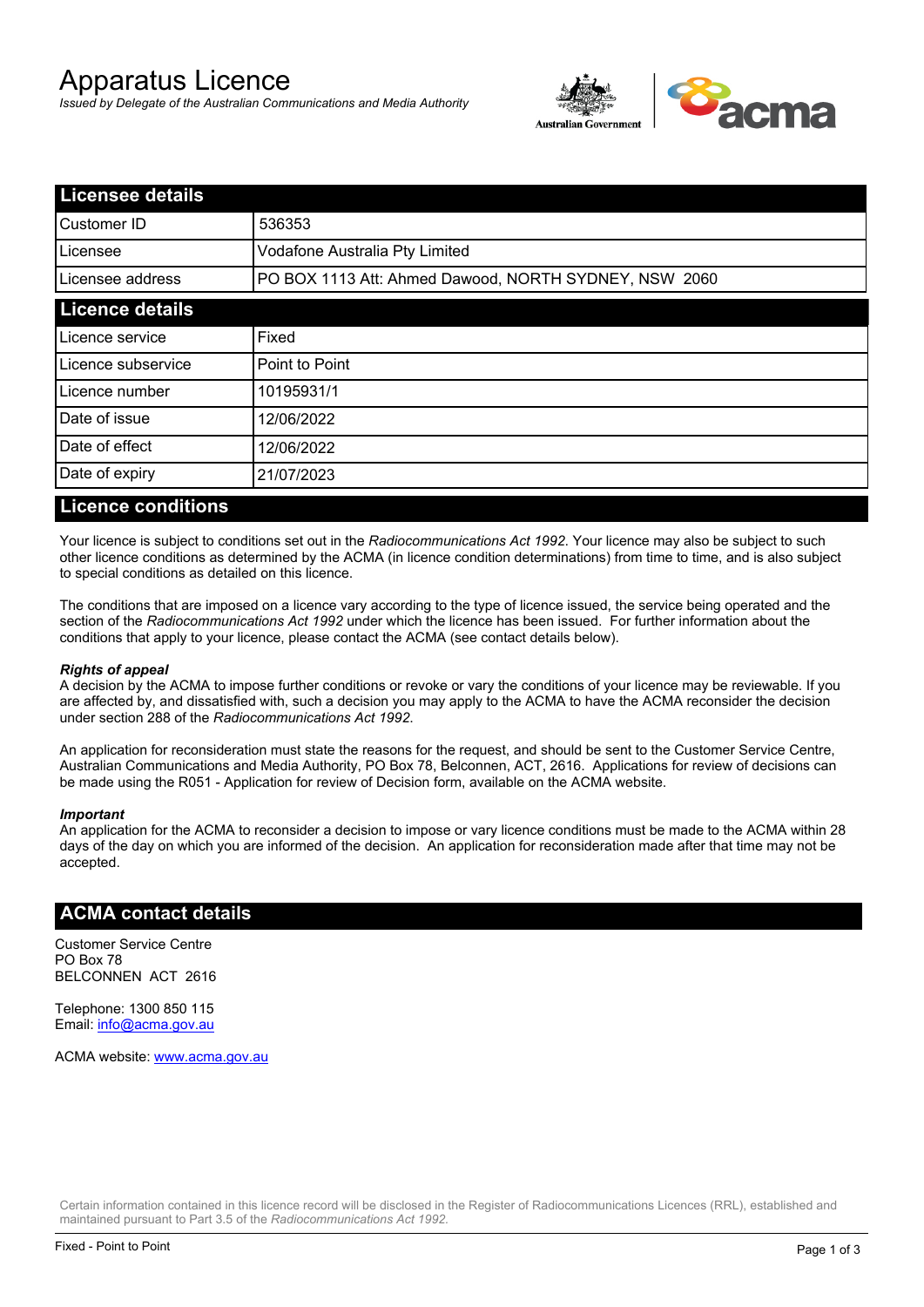# Apparatus Licence

*Issued by Delegate of the Australian Communications and Media Authority*



| <b>Licensee details</b> |                                                       |  |
|-------------------------|-------------------------------------------------------|--|
| Customer ID             | 536353                                                |  |
| Licensee                | Vodafone Australia Pty Limited                        |  |
| Licensee address        | PO BOX 1113 Att: Ahmed Dawood, NORTH SYDNEY, NSW 2060 |  |
| <b>Licence details</b>  |                                                       |  |
| Licence service         | Fixed                                                 |  |
| Licence subservice      | Point to Point                                        |  |
| Licence number          | 10195931/1                                            |  |
| Date of issue           | 12/06/2022                                            |  |
| Date of effect          | 12/06/2022                                            |  |
| Date of expiry          | 21/07/2023                                            |  |
|                         |                                                       |  |

#### **Licence conditions**

Your licence is subject to conditions set out in the *Radiocommunications Act 1992*. Your licence may also be subject to such other licence conditions as determined by the ACMA (in licence condition determinations) from time to time, and is also subject to special conditions as detailed on this licence.

The conditions that are imposed on a licence vary according to the type of licence issued, the service being operated and the section of the *Radiocommunications Act 1992* under which the licence has been issued. For further information about the conditions that apply to your licence, please contact the ACMA (see contact details below).

#### *Rights of appeal*

A decision by the ACMA to impose further conditions or revoke or vary the conditions of your licence may be reviewable. If you are affected by, and dissatisfied with, such a decision you may apply to the ACMA to have the ACMA reconsider the decision under section 288 of the *Radiocommunications Act 1992*.

An application for reconsideration must state the reasons for the request, and should be sent to the Customer Service Centre, Australian Communications and Media Authority, PO Box 78, Belconnen, ACT, 2616. Applications for review of decisions can be made using the R051 - Application for review of Decision form, available on the ACMA website.

#### *Important*

An application for the ACMA to reconsider a decision to impose or vary licence conditions must be made to the ACMA within 28 days of the day on which you are informed of the decision. An application for reconsideration made after that time may not be accepted.

#### **ACMA contact details**

Customer Service Centre PO Box 78 BELCONNEN ACT 2616

Telephone: 1300 850 115 Email: info@acma.gov.au

ACMA website: www.acma.gov.au

Certain information contained in this licence record will be disclosed in the Register of Radiocommunications Licences (RRL), established and maintained pursuant to Part 3.5 of the *Radiocommunications Act 1992.*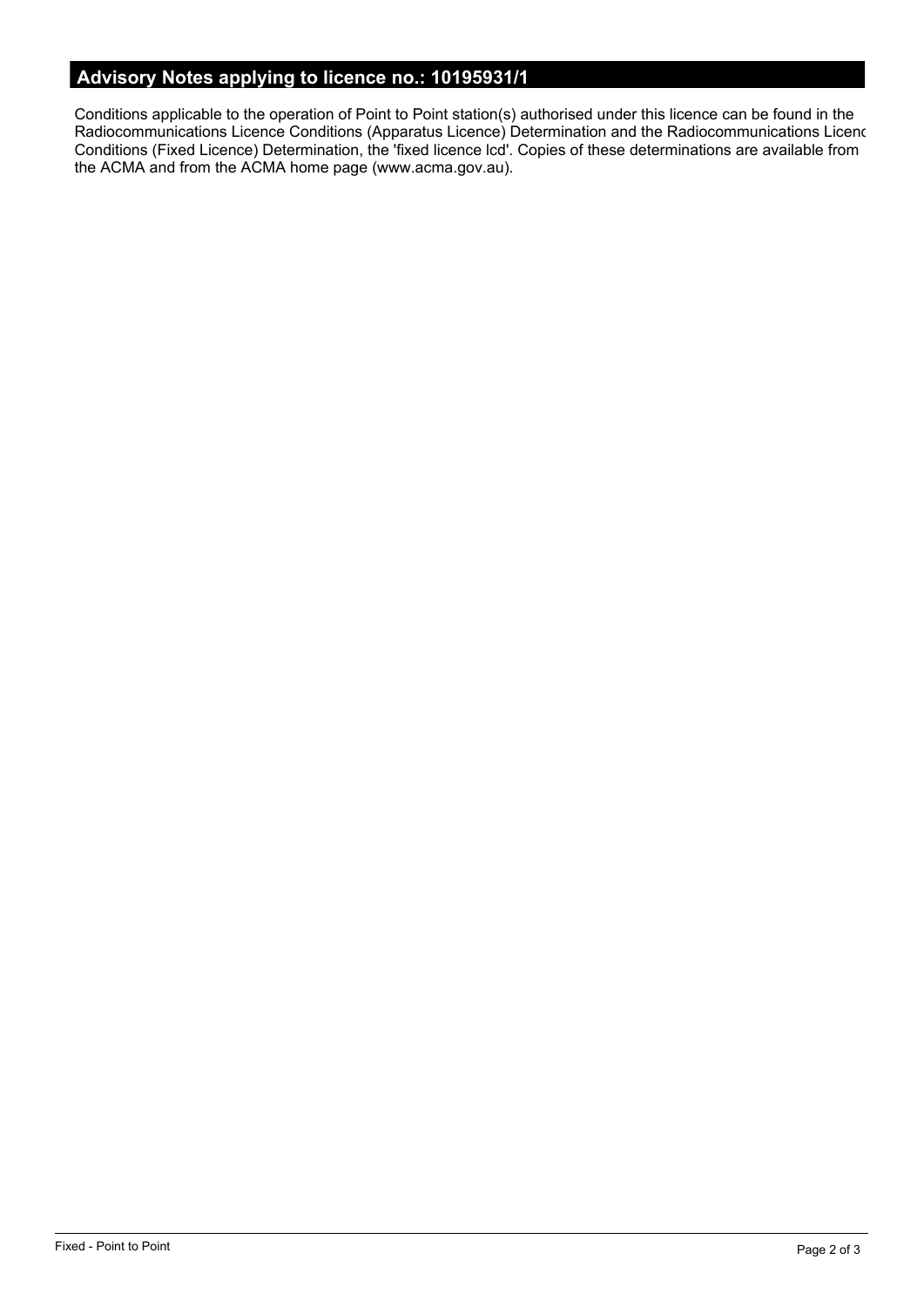# **Advisory Notes applying to licence no.: 10195931/1**

Conditions applicable to the operation of Point to Point station(s) authorised under this licence can be found in the Radiocommunications Licence Conditions (Apparatus Licence) Determination and the Radiocommunications Licence Conditions (Fixed Licence) Determination, the 'fixed licence lcd'. Copies of these determinations are available from the ACMA and from the ACMA home page (www.acma.gov.au).